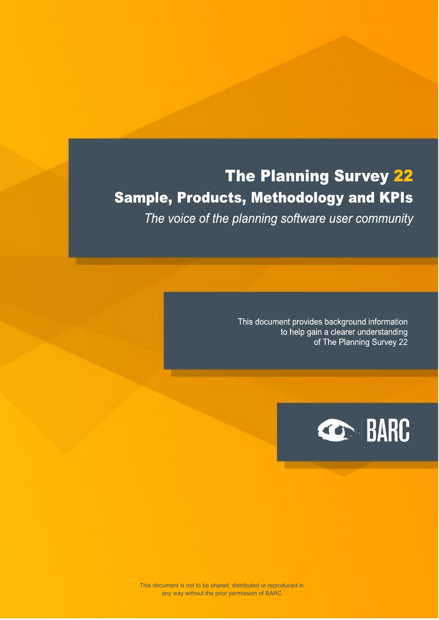# The Planning Survey 22 **Sample, Products, Methodology and KPIs**

The voice of the planning software user community

This document provides background information to help gain a clearer understanding of The Planning Survey 22

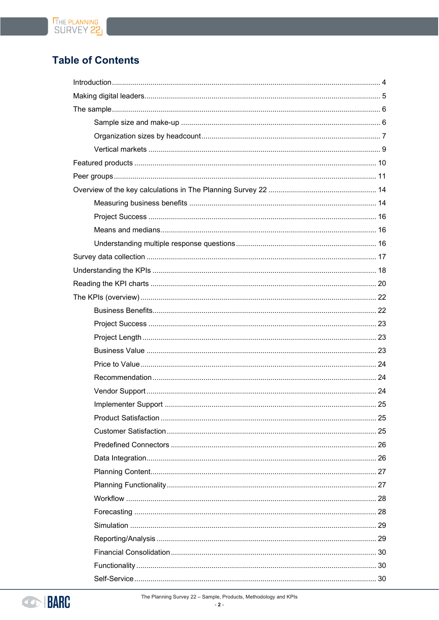# **Table of Contents**



The Planning Survey 22 - Sample, Products, Methodology and KPIs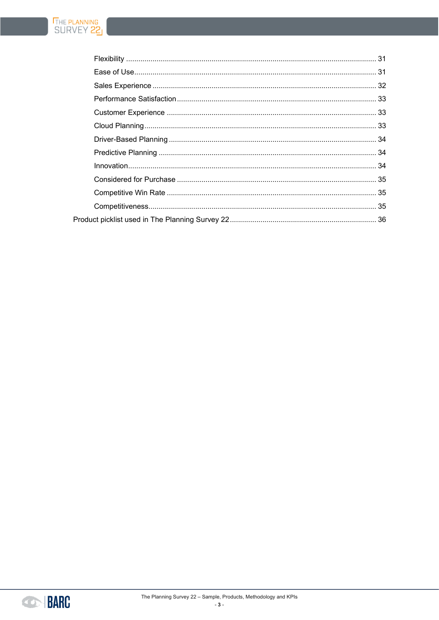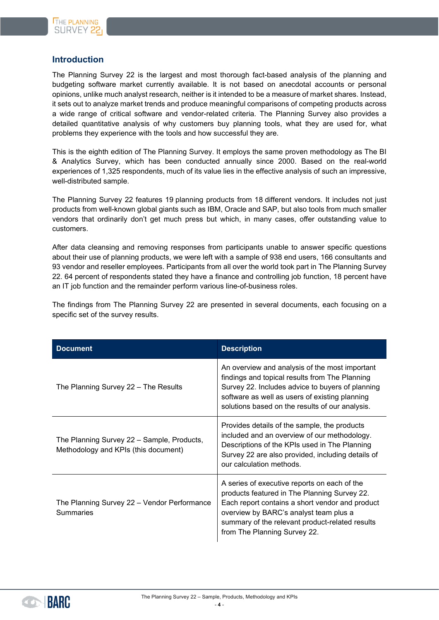### <span id="page-3-0"></span>**Introduction**

The Planning Survey 22 is the largest and most thorough fact-based analysis of the planning and budgeting software market currently available. It is not based on anecdotal accounts or personal opinions, unlike much analyst research, neither is it intended to be a measure of market shares. Instead, it sets out to analyze market trends and produce meaningful comparisons of competing products across a wide range of critical software and vendor-related criteria. The Planning Survey also provides a detailed quantitative analysis of why customers buy planning tools, what they are used for, what problems they experience with the tools and how successful they are.

This is the eighth edition of The Planning Survey. It employs the same proven methodology as The BI & Analytics Survey, which has been conducted annually since 2000. Based on the real-world experiences of 1,325 respondents, much of its value lies in the effective analysis of such an impressive, well-distributed sample.

The Planning Survey 22 features 19 planning products from 18 different vendors. It includes not just products from well-known global giants such as IBM, Oracle and SAP, but also tools from much smaller vendors that ordinarily don't get much press but which, in many cases, offer outstanding value to customers.

After data cleansing and removing responses from participants unable to answer specific questions about their use of planning products, we were left with a sample of 938 end users, 166 consultants and 93 vendor and reseller employees. Participants from all over the world took part in The Planning Survey 22. 64 percent of respondents stated they have a finance and controlling job function, 18 percent have an IT job function and the remainder perform various line-of-business roles.

The findings from The Planning Survey 22 are presented in several documents, each focusing on a specific set of the survey results.

| <b>Document</b>                                                                    | <b>Description</b>                                                                                                                                                                                                                                                           |
|------------------------------------------------------------------------------------|------------------------------------------------------------------------------------------------------------------------------------------------------------------------------------------------------------------------------------------------------------------------------|
| The Planning Survey 22 - The Results                                               | An overview and analysis of the most important<br>findings and topical results from The Planning<br>Survey 22. Includes advice to buyers of planning<br>software as well as users of existing planning<br>solutions based on the results of our analysis.                    |
| The Planning Survey 22 - Sample, Products,<br>Methodology and KPIs (this document) | Provides details of the sample, the products<br>included and an overview of our methodology.<br>Descriptions of the KPIs used in The Planning<br>Survey 22 are also provided, including details of<br>our calculation methods.                                               |
| The Planning Survey 22 - Vendor Performance<br><b>Summaries</b>                    | A series of executive reports on each of the<br>products featured in The Planning Survey 22.<br>Each report contains a short vendor and product<br>overview by BARC's analyst team plus a<br>summary of the relevant product-related results<br>from The Planning Survey 22. |

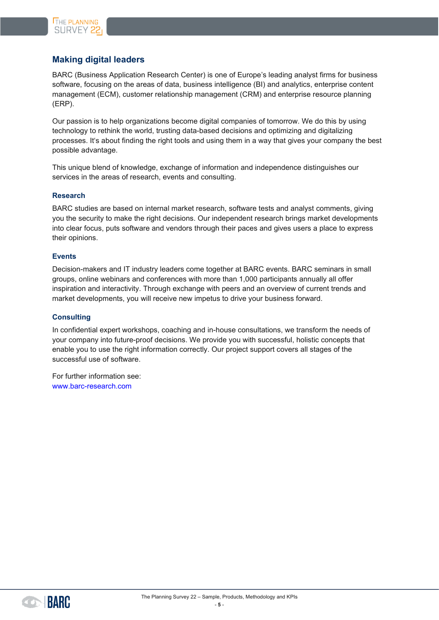# <span id="page-4-0"></span>**Making digital leaders**

BARC (Business Application Research Center) is one of Europe's leading analyst firms for business software, focusing on the areas of data, business intelligence (BI) and analytics, enterprise content management (ECM), customer relationship management (CRM) and enterprise resource planning (ERP).

Our passion is to help organizations become digital companies of tomorrow. We do this by using technology to rethink the world, trusting data-based decisions and optimizing and digitalizing processes. It's about finding the right tools and using them in a way that gives your company the best possible advantage.

This unique blend of knowledge, exchange of information and independence distinguishes our services in the areas of research, events and consulting.

#### **Research**

BARC studies are based on internal market research, software tests and analyst comments, giving you the security to make the right decisions. Our independent research brings market developments into clear focus, puts software and vendors through their paces and gives users a place to express their opinions.

#### **Events**

Decision-makers and IT industry leaders come together at BARC events. BARC seminars in small groups, online webinars and conferences with more than 1,000 participants annually all offer inspiration and interactivity. Through exchange with peers and an overview of current trends and market developments, you will receive new impetus to drive your business forward.

#### **Consulting**

In confidential expert workshops, coaching and in-house consultations, we transform the needs of your company into future-proof decisions. We provide you with successful, holistic concepts that enable you to use the right information correctly. Our project support covers all stages of the successful use of software.

For further information see: [www.barc-research.com](https://www.barc-research.com/)

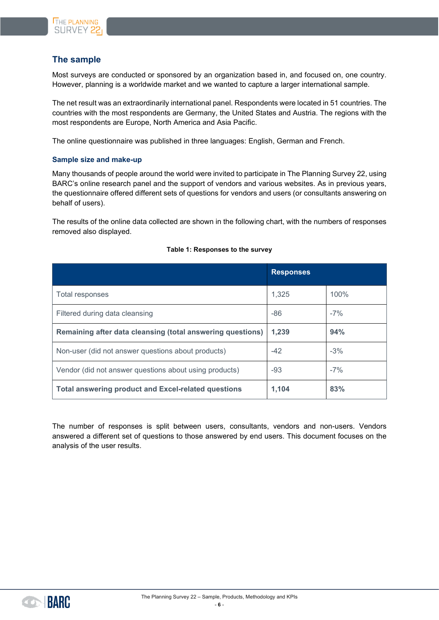

# <span id="page-5-0"></span>**The sample**

Most surveys are conducted or sponsored by an organization based in, and focused on, one country. However, planning is a worldwide market and we wanted to capture a larger international sample.

The net result was an extraordinarily international panel. Respondents were located in 51 countries. The countries with the most respondents are Germany, the United States and Austria. The regions with the most respondents are Europe, North America and Asia Pacific.

The online questionnaire was published in three languages: English, German and French.

#### <span id="page-5-1"></span>**Sample size and make-up**

Many thousands of people around the world were invited to participate in The Planning Survey 22, using BARC's online research panel and the support of vendors and various websites. As in previous years, the questionnaire offered different sets of questions for vendors and users (or consultants answering on behalf of users).

The results of the online data collected are shown in the following chart, with the numbers of responses removed also displayed.

|                                                            | <b>Responses</b> |       |
|------------------------------------------------------------|------------------|-------|
| Total responses                                            | 1,325            | 100%  |
| Filtered during data cleansing                             | $-86$            | $-7%$ |
| Remaining after data cleansing (total answering questions) | 1,239            | 94%   |
| Non-user (did not answer questions about products)         | $-42$            | $-3%$ |
| Vendor (did not answer questions about using products)     | -93              | $-7%$ |
| <b>Total answering product and Excel-related questions</b> | 1,104            | 83%   |

#### **Table 1: Responses to the survey**

The number of responses is split between users, consultants, vendors and non-users. Vendors answered a different set of questions to those answered by end users. This document focuses on the analysis of the user results.

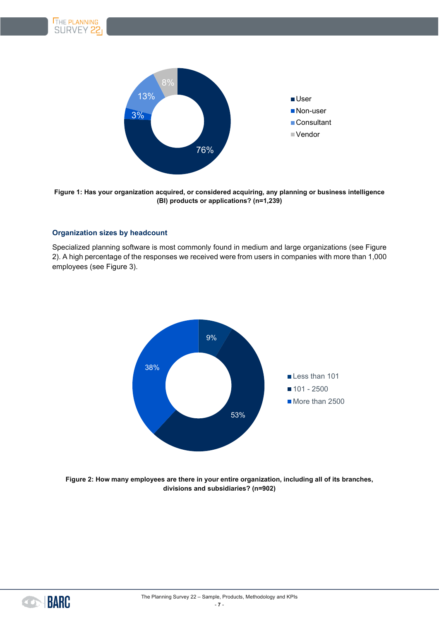

**Figure 1: Has your organization acquired, or considered acquiring, any planning or business intelligence (BI) products or applications? (n=1,239)**

#### <span id="page-6-0"></span>**Organization sizes by headcount**

Specialized planning software is most commonly found in medium and large organizations (see [Figure](#page-6-1)  [2\)](#page-6-1). A high percentage of the responses we received were from users in companies with more than 1,000 employees (see [Figure 3\)](#page-7-0).



<span id="page-6-1"></span>**Figure 2: How many employees are there in your entire organization, including all of its branches, divisions and subsidiaries? (n=902)**

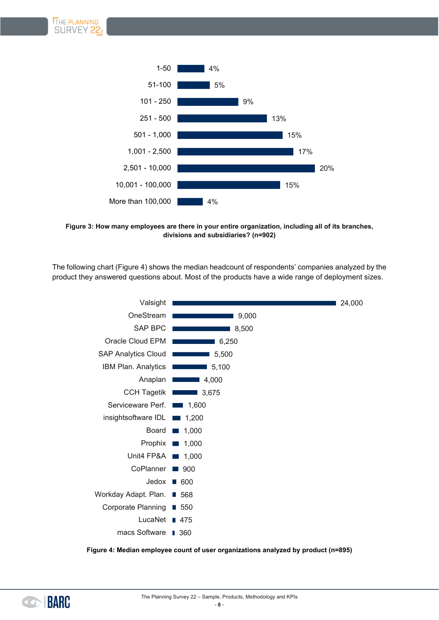

<span id="page-7-0"></span>**Figure 3: How many employees are there in your entire organization, including all of its branches, divisions and subsidiaries? (n=902)**

The following chart [\(Figure 4\)](#page-7-1) shows the median headcount of respondents' companies analyzed by the product they answered questions about. Most of the products have a wide range of deployment sizes.



<span id="page-7-1"></span>**Figure 4: Median employee count of user organizations analyzed by product (n=895)**

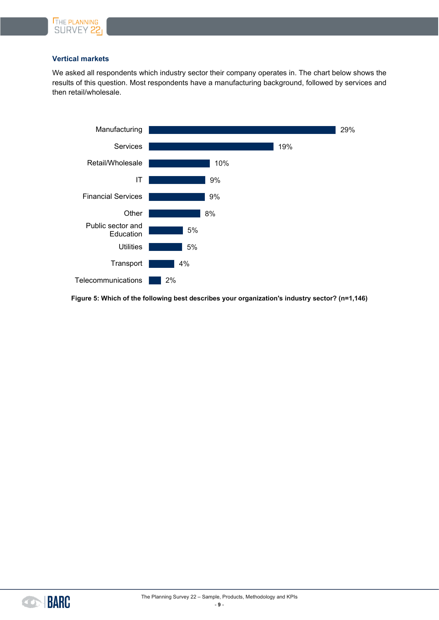

#### <span id="page-8-0"></span>**Vertical markets**

We asked all respondents which industry sector their company operates in. The chart below shows the results of this question. Most respondents have a manufacturing background, followed by services and then retail/wholesale.



**Figure 5: Which of the following best describes your organization's industry sector? (n=1,146)**

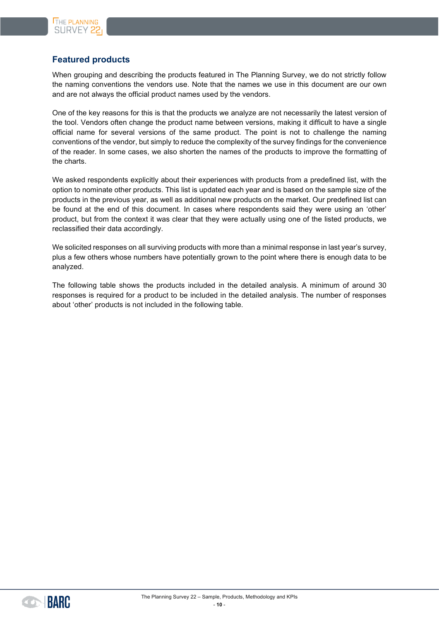# <span id="page-9-0"></span>**Featured products**

When grouping and describing the products featured in The Planning Survey, we do not strictly follow the naming conventions the vendors use. Note that the names we use in this document are our own and are not always the official product names used by the vendors.

One of the key reasons for this is that the products we analyze are not necessarily the latest version of the tool. Vendors often change the product name between versions, making it difficult to have a single official name for several versions of the same product. The point is not to challenge the naming conventions of the vendor, but simply to reduce the complexity of the survey findings for the convenience of the reader. In some cases, we also shorten the names of the products to improve the formatting of the charts.

We asked respondents explicitly about their experiences with products from a predefined list, with the option to nominate other products. This list is updated each year and is based on the sample size of the products in the previous year, as well as additional new products on the market. Our predefined list can be found at the end of this document. In cases where respondents said they were using an 'other' product, but from the context it was clear that they were actually using one of the listed products, we reclassified their data accordingly.

We solicited responses on all surviving products with more than a minimal response in last year's survey, plus a few others whose numbers have potentially grown to the point where there is enough data to be analyzed.

The following table shows the products included in the detailed analysis. A minimum of around 30 responses is required for a product to be included in the detailed analysis. The number of responses about 'other' products is not included in the following table.

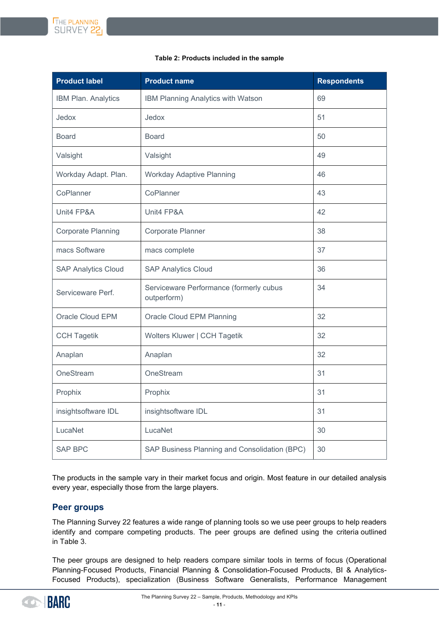#### **Table 2: Products included in the sample**

| <b>Product label</b>       | <b>Product name</b>                                    | <b>Respondents</b> |
|----------------------------|--------------------------------------------------------|--------------------|
| IBM Plan. Analytics        | IBM Planning Analytics with Watson                     | 69                 |
| Jedox                      | Jedox                                                  | 51                 |
| <b>Board</b>               | <b>Board</b>                                           | 50                 |
| Valsight                   | Valsight                                               | 49                 |
| Workday Adapt. Plan.       | <b>Workday Adaptive Planning</b>                       | 46                 |
| CoPlanner                  | CoPlanner                                              | 43                 |
| Unit4 FP&A                 | Unit4 FP&A                                             | 42                 |
| <b>Corporate Planning</b>  | Corporate Planner                                      | 38                 |
| macs Software              | macs complete                                          | 37                 |
| <b>SAP Analytics Cloud</b> | <b>SAP Analytics Cloud</b>                             | 36                 |
| Serviceware Perf.          | Serviceware Performance (formerly cubus<br>outperform) | 34                 |
| Oracle Cloud EPM           | Oracle Cloud EPM Planning                              | 32                 |
| <b>CCH Tagetik</b>         | Wolters Kluwer   CCH Tagetik                           | 32                 |
| Anaplan                    | Anaplan                                                | 32                 |
| OneStream                  | OneStream                                              | 31                 |
| Prophix                    | Prophix                                                | 31                 |
| insightsoftware IDL        | insightsoftware IDL                                    | 31                 |
| LucaNet                    | LucaNet                                                | 30                 |
| <b>SAP BPC</b>             | SAP Business Planning and Consolidation (BPC)          | 30                 |

The products in the sample vary in their market focus and origin. Most feature in our detailed analysis every year, especially those from the large players.

### <span id="page-10-0"></span>**Peer groups**

The Planning Survey 22 features a wide range of planning tools so we use peer groups to help readers identify and compare competing products. The peer groups are defined using the criteria outlined in [Table 3.](#page-11-0)

The peer groups are designed to help readers compare similar tools in terms of focus (Operational Planning-Focused Products, Financial Planning & Consolidation-Focused Products, BI & Analytics-Focused Products), specialization (Business Software Generalists, Performance Management

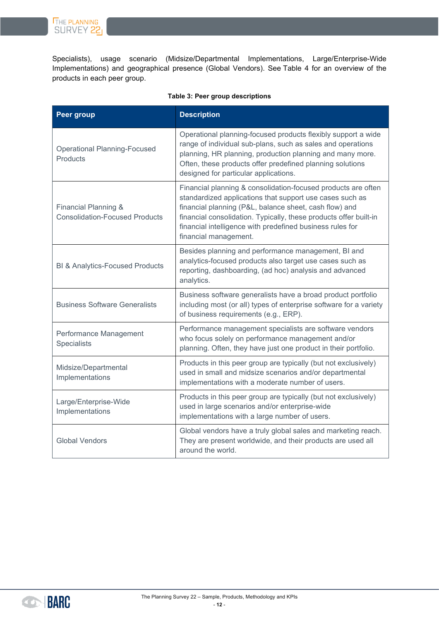THE PLANNING<br>SURVEY 22

Specialists), usage scenario (Midsize/Departmental Implementations, Large/Enterprise-Wide Implementations) and geographical presence (Global Vendors). See [Table 4](#page-12-0) for an overview of the products in each peer group.

<span id="page-11-0"></span>

| <b>Peer group</b>                                             | <b>Description</b>                                                                                                                                                                                                                                                                                                                             |
|---------------------------------------------------------------|------------------------------------------------------------------------------------------------------------------------------------------------------------------------------------------------------------------------------------------------------------------------------------------------------------------------------------------------|
| <b>Operational Planning-Focused</b><br><b>Products</b>        | Operational planning-focused products flexibly support a wide<br>range of individual sub-plans, such as sales and operations<br>planning, HR planning, production planning and many more.<br>Often, these products offer predefined planning solutions<br>designed for particular applications.                                                |
| Financial Planning &<br><b>Consolidation-Focused Products</b> | Financial planning & consolidation-focused products are often<br>standardized applications that support use cases such as<br>financial planning (P&L, balance sheet, cash flow) and<br>financial consolidation. Typically, these products offer built-in<br>financial intelligence with predefined business rules for<br>financial management. |
| <b>BI &amp; Analytics-Focused Products</b>                    | Besides planning and performance management, BI and<br>analytics-focused products also target use cases such as<br>reporting, dashboarding, (ad hoc) analysis and advanced<br>analytics.                                                                                                                                                       |
| <b>Business Software Generalists</b>                          | Business software generalists have a broad product portfolio<br>including most (or all) types of enterprise software for a variety<br>of business requirements (e.g., ERP).                                                                                                                                                                    |
| Performance Management<br>Specialists                         | Performance management specialists are software vendors<br>who focus solely on performance management and/or<br>planning. Often, they have just one product in their portfolio.                                                                                                                                                                |
| Midsize/Departmental<br>Implementations                       | Products in this peer group are typically (but not exclusively)<br>used in small and midsize scenarios and/or departmental<br>implementations with a moderate number of users.                                                                                                                                                                 |
| Large/Enterprise-Wide<br>Implementations                      | Products in this peer group are typically (but not exclusively)<br>used in large scenarios and/or enterprise-wide<br>implementations with a large number of users.                                                                                                                                                                             |
| <b>Global Vendors</b>                                         | Global vendors have a truly global sales and marketing reach.<br>They are present worldwide, and their products are used all<br>around the world.                                                                                                                                                                                              |

#### **Table 3: Peer group descriptions**

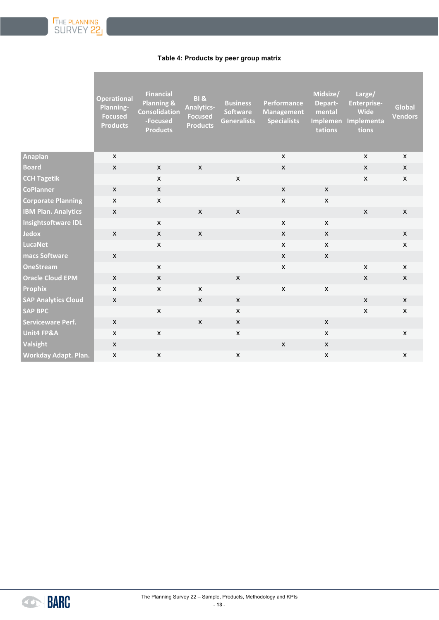#### **Table 4: Products by peer group matrix**

<span id="page-12-0"></span>

|                            | <b>Operational</b><br>Planning-<br><b>Focused</b><br><b>Products</b> | <b>Financial</b><br><b>Planning &amp;</b><br><b>Consolidation</b><br>-Focused<br><b>Products</b> | <b>BI &amp;</b><br><b>Analytics-</b><br><b>Focused</b><br><b>Products</b> | <b>Business</b><br><b>Software</b><br><b>Generalists</b> | Performance<br><b>Management</b><br><b>Specialists</b> | Midsize/<br>Depart-<br>mental<br>Implemen<br>tations | Large/<br><b>Enterprise-</b><br><b>Wide</b><br>Implementa<br>tions | Global<br><b>Vendors</b> |
|----------------------------|----------------------------------------------------------------------|--------------------------------------------------------------------------------------------------|---------------------------------------------------------------------------|----------------------------------------------------------|--------------------------------------------------------|------------------------------------------------------|--------------------------------------------------------------------|--------------------------|
| <b>Anaplan</b>             | $\mathsf{x}$                                                         |                                                                                                  |                                                                           |                                                          | $\mathsf{x}$                                           |                                                      | $\mathsf{x}$                                                       | $\mathsf{x}$             |
| <b>Board</b>               | $\mathsf{x}$                                                         | $\mathsf{x}$                                                                                     | $\mathsf{x}$                                                              |                                                          | X                                                      |                                                      | $\boldsymbol{\mathsf{X}}$                                          | $\pmb{\mathsf{X}}$       |
| <b>CCH Tagetik</b>         |                                                                      | $\pmb{\mathsf{X}}$                                                                               |                                                                           | $\pmb{\mathsf{x}}$                                       |                                                        |                                                      | $\pmb{\mathsf{x}}$                                                 | $\mathsf{x}$             |
| <b>CoPlanner</b>           | $\mathsf{x}$                                                         | $\mathsf{x}$                                                                                     |                                                                           |                                                          | $\mathsf{x}$                                           | X                                                    |                                                                    |                          |
| <b>Corporate Planning</b>  | $\mathsf{x}$                                                         | $\mathsf{x}$                                                                                     |                                                                           |                                                          | $\mathsf{X}$                                           | $\mathsf{x}$                                         |                                                                    |                          |
| <b>IBM Plan. Analytics</b> | $\mathsf{X}$                                                         |                                                                                                  | $\mathsf{X}$                                                              | $\mathsf{x}$                                             |                                                        |                                                      | $\boldsymbol{\mathsf{X}}$                                          | $\mathsf{x}$             |
| Insightsoftware IDL        |                                                                      | $\mathsf{x}$                                                                                     |                                                                           |                                                          | $\mathsf{x}$                                           | $\mathsf{x}$                                         |                                                                    |                          |
| <b>Jedox</b>               | $\mathsf{X}$                                                         | $\mathsf X$                                                                                      | $\mathsf{X}$                                                              |                                                          | X                                                      | $\mathsf{X}$                                         |                                                                    | $\pmb{\mathsf{X}}$       |
| <b>LucaNet</b>             |                                                                      | $\mathsf{X}$                                                                                     |                                                                           |                                                          | $\mathsf{x}$                                           | X                                                    |                                                                    | $\pmb{\mathsf{X}}$       |
| macs Software              | $\pmb{\mathsf{X}}$                                                   |                                                                                                  |                                                                           |                                                          | $\mathsf{X}$                                           | $\mathsf{X}$                                         |                                                                    |                          |
| <b>OneStream</b>           |                                                                      | $\mathsf{X}$                                                                                     |                                                                           |                                                          | $\mathsf{X}$                                           |                                                      | $\pmb{\mathsf{X}}$                                                 | $\mathsf{X}$             |
| <b>Oracle Cloud EPM</b>    | $\mathsf{x}$                                                         | $\mathsf{x}$                                                                                     |                                                                           | $\mathsf{x}$                                             |                                                        |                                                      | $\mathsf{x}$                                                       | $\pmb{\mathsf{X}}$       |
| <b>Prophix</b>             | $\mathsf{x}$                                                         | $\mathsf{x}$                                                                                     | $\pmb{\mathsf{X}}$                                                        |                                                          | $\mathsf{X}$                                           | $\pmb{\mathsf{X}}$                                   |                                                                    |                          |
| <b>SAP Analytics Cloud</b> | $\mathsf{x}$                                                         |                                                                                                  | $\mathsf{x}$                                                              | $\mathsf{x}$                                             |                                                        |                                                      | $\mathsf{x}$                                                       | $\mathsf{x}$             |
| <b>SAP BPC</b>             |                                                                      | $\mathsf{x}$                                                                                     |                                                                           | X                                                        |                                                        |                                                      | $\boldsymbol{\mathsf{X}}$                                          | $\pmb{\mathsf{X}}$       |
| <b>Serviceware Perf.</b>   | $\mathsf{X}$                                                         |                                                                                                  | $\mathsf{x}$                                                              | $\boldsymbol{\mathsf{X}}$                                |                                                        | $\mathsf{X}$                                         |                                                                    |                          |
| <b>Unit4 FP&amp;A</b>      | $\mathsf{x}$                                                         | $\mathsf{x}$                                                                                     |                                                                           | X                                                        |                                                        | X                                                    |                                                                    | $\pmb{\mathsf{X}}$       |
| <b>Valsight</b>            | $\mathsf{x}$                                                         |                                                                                                  |                                                                           |                                                          | $\mathsf{X}$                                           | $\mathsf{X}$                                         |                                                                    |                          |
| Workday Adapt. Plan.       | $\boldsymbol{\mathsf{X}}$                                            | $\pmb{\mathsf{X}}$                                                                               |                                                                           | $\pmb{\mathsf{x}}$                                       |                                                        | $\mathsf{x}$                                         |                                                                    | $\pmb{\mathsf{X}}$       |

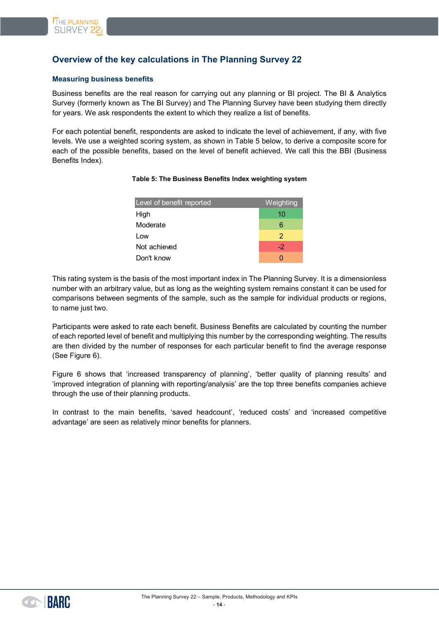# <span id="page-13-0"></span>**Overview of the key calculations in The Planning Survey 22**

#### <span id="page-13-1"></span>**Measuring business benefits**

Business benefits are the real reason for carrying out any planning or BI project. The BI & Analytics Survey (formerly known as The BI Survey) and The Planning Survey have been studying them directly for years. We ask respondents the extent to which they realize a list of benefits.

<span id="page-13-2"></span>For each potential benefit, respondents are asked to indicate the level of achievement, if any, with five levels. We use a weighted scoring system, as shown in [Table 5](#page-13-2) below, to derive a composite score for each of the possible benefits, based on the level of benefit achieved. We call this the BBI (Business Benefits Index).

| Level of benefit reported | <b>Weighting</b> |
|---------------------------|------------------|
| High                      | 10               |
| Moderate                  | 6                |
| Low                       | 2                |
| Not achieved              | $-2$             |
| Don't know                | Ω                |

#### **Table 5: The Business Benefits Index weighting system**

This rating system is the basis of the most important index in The Planning Survey. It is a dimensionless number with an arbitrary value, but as long as the weighting system remains constant it can be used for comparisons between segments of the sample, such as the sample for individual products or regions, to name just two.

Participants were asked to rate each benefit. Business Benefits are calculated by counting the number of each reported level of benefit and multiplying this number by the corresponding weighting. The results are then divided by the number of responses for each particular benefit to find the average response (See [Figure 6\)](#page-14-0).

[Figure 6](#page-14-0) shows that 'increased transparency of planning', 'better quality of planning results' and 'improved integration of planning with reporting/analysis' are the top three benefits companies achieve through the use of their planning products.

In contrast to the main benefits, 'saved headcount', 'reduced costs' and 'increased competitive advantage' are seen as relatively minor benefits for planners.

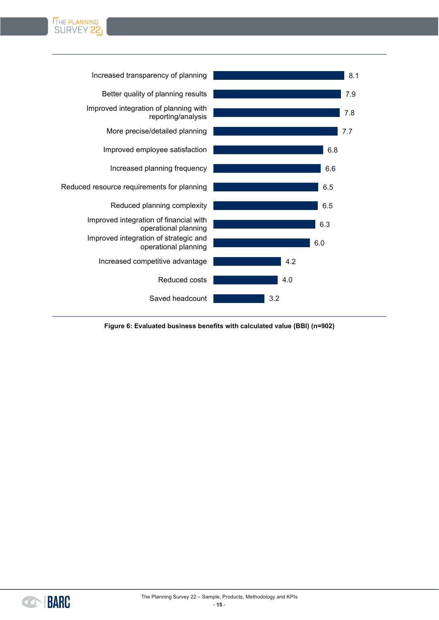



<span id="page-14-0"></span>

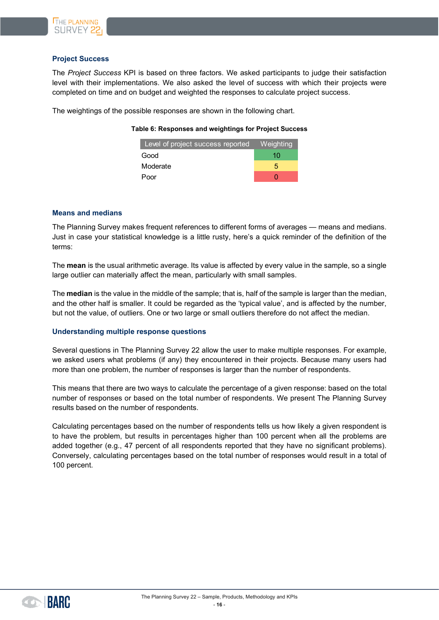

#### <span id="page-15-0"></span>**Project Success**

The *Project Success* KPI is based on three factors. We asked participants to judge their satisfaction level with their implementations. We also asked the level of success with which their projects were completed on time and on budget and weighted the responses to calculate project success.

The weightings of the possible responses are shown in the following chart.

#### **Table 6: Responses and weightings for Project Success**

| Level of project success reported    Meighting |    |
|------------------------------------------------|----|
| Good                                           | 10 |
| Moderate                                       | 5  |
| Poor                                           |    |

#### <span id="page-15-1"></span>**Means and medians**

The Planning Survey makes frequent references to different forms of averages — means and medians. Just in case your statistical knowledge is a little rusty, here's a quick reminder of the definition of the terms:

The **mean** is the usual arithmetic average. Its value is affected by every value in the sample, so a single large outlier can materially affect the mean, particularly with small samples.

The **median** is the value in the middle of the sample; that is, half of the sample is larger than the median, and the other half is smaller. It could be regarded as the 'typical value', and is affected by the number, but not the value, of outliers. One or two large or small outliers therefore do not affect the median.

#### <span id="page-15-2"></span>**Understanding multiple response questions**

Several questions in The Planning Survey 22 allow the user to make multiple responses. For example, we asked users what problems (if any) they encountered in their projects. Because many users had more than one problem, the number of responses is larger than the number of respondents.

This means that there are two ways to calculate the percentage of a given response: based on the total number of responses or based on the total number of respondents. We present The Planning Survey results based on the number of respondents.

Calculating percentages based on the number of respondents tells us how likely a given respondent is to have the problem, but results in percentages higher than 100 percent when all the problems are added together (e.g., 47 percent of all respondents reported that they have no significant problems). Conversely, calculating percentages based on the total number of responses would result in a total of 100 percent.

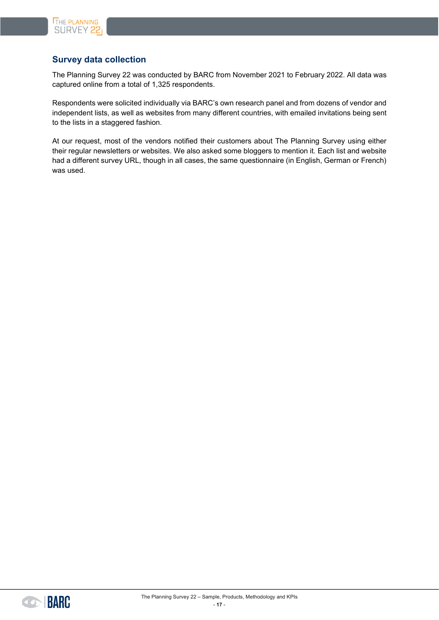

# <span id="page-16-0"></span>**Survey data collection**

The Planning Survey 22 was conducted by BARC from November 2021 to February 2022. All data was captured online from a total of 1,325 respondents.

Respondents were solicited individually via BARC's own research panel and from dozens of vendor and independent lists, as well as websites from many different countries, with emailed invitations being sent to the lists in a staggered fashion.

At our request, most of the vendors notified their customers about The Planning Survey using either their regular newsletters or websites. We also asked some bloggers to mention it. Each list and website had a different survey URL, though in all cases, the same questionnaire (in English, German or French) was used.

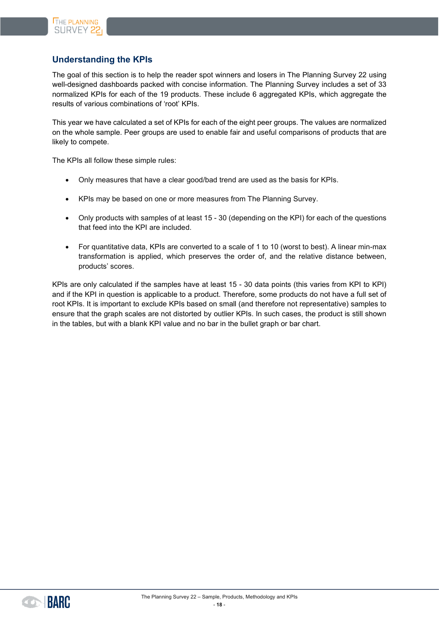# <span id="page-17-0"></span>**Understanding the KPIs**

The goal of this section is to help the reader spot winners and losers in The Planning Survey 22 using well-designed dashboards packed with concise information. The Planning Survey includes a set of 33 normalized KPIs for each of the 19 products. These include 6 aggregated KPIs, which aggregate the results of various combinations of 'root' KPIs.

This year we have calculated a set of KPIs for each of the eight peer groups. The values are normalized on the whole sample. Peer groups are used to enable fair and useful comparisons of products that are likely to compete.

The KPIs all follow these simple rules:

- Only measures that have a clear good/bad trend are used as the basis for KPIs.
- KPIs may be based on one or more measures from The Planning Survey.
- Only products with samples of at least 15 30 (depending on the KPI) for each of the questions that feed into the KPI are included.
- For quantitative data, KPIs are converted to a scale of 1 to 10 (worst to best). A linear min-max transformation is applied, which preserves the order of, and the relative distance between, products' scores.

KPIs are only calculated if the samples have at least 15 - 30 data points (this varies from KPI to KPI) and if the KPI in question is applicable to a product. Therefore, some products do not have a full set of root KPIs. It is important to exclude KPIs based on small (and therefore not representative) samples to ensure that the graph scales are not distorted by outlier KPIs. In such cases, the product is still shown in the tables, but with a blank KPI value and no bar in the bullet graph or bar chart.

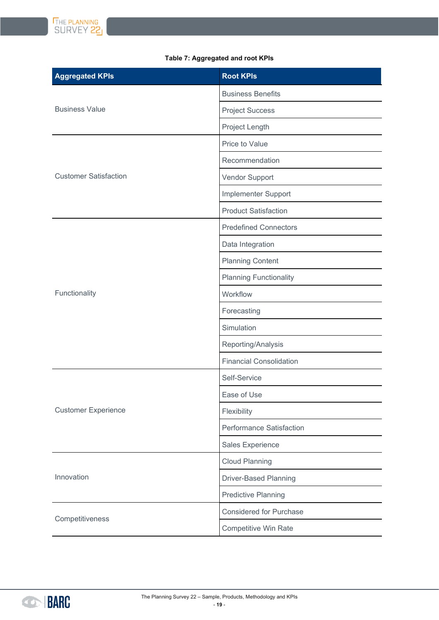

# **Aggregated KPIs Root KPIs Root KPIs** Business Value Business Benefits Project Success Project Length Customer Satisfaction Price to Value **Recommendation** Vendor Support Implementer Support Product Satisfaction Functionality Predefined Connectors Data Integration Planning Content Planning Functionality **Workflow** Forecasting Simulation Reporting/Analysis Financial Consolidation Customer Experience Self-Service Ease of Use Flexibility Performance Satisfaction Sales Experience Innovation Cloud Planning Driver-Based Planning Predictive Planning **Competitiveness** Considered for Purchase Competitive Win Rate

#### **Table 7: Aggregated and root KPIs**

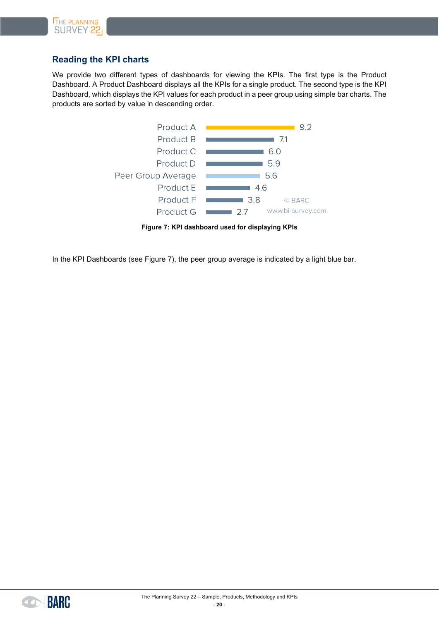

# <span id="page-19-0"></span>**Reading the KPI charts**

We provide two different types of dashboards for viewing the KPIs. The first type is the Product Dashboard. A Product Dashboard displays all the KPIs for a single product. The second type is the KPI Dashboard, which displays the KPI values for each product in a peer group using simple bar charts. The products are sorted by value in descending order.



**Figure 7: KPI dashboard used for displaying KPIs**

<span id="page-19-1"></span>In the KPI Dashboards (see [Figure 7\)](#page-19-1), the peer group average is indicated by a light blue bar.

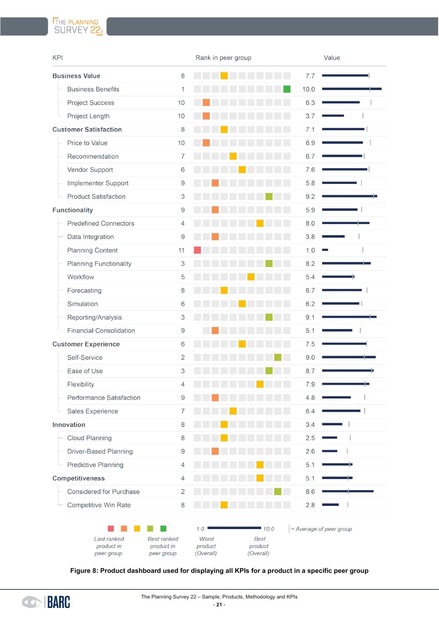# THE PLANNING<br>SURVEY 22

| <b>KPI</b>                              |                                                | Rank in peer group                   |                                      | Value                   |    |
|-----------------------------------------|------------------------------------------------|--------------------------------------|--------------------------------------|-------------------------|----|
| <b>Business Value</b>                   | 8                                              |                                      |                                      | 7.7                     |    |
| <b>Business Benefits</b>                | 1                                              |                                      |                                      | 10.0                    |    |
| <b>Project Success</b>                  | 10                                             |                                      |                                      | 6.3                     |    |
| Project Length                          | $10$                                           |                                      |                                      | 3.7                     |    |
| <b>Customer Satisfaction</b>            | $\,8\,$                                        |                                      |                                      | 7.1                     |    |
| Price to Value                          | 10                                             |                                      |                                      | 6.9                     |    |
| Recommendation                          | $\overline{7}$                                 |                                      |                                      | 6.7                     |    |
| Vendor Support                          | $\,6$                                          |                                      |                                      | 7.6                     |    |
| Implementer Support                     | $\hbox{9}$                                     |                                      |                                      | 5.8                     |    |
| <b>Product Satisfaction</b>             | 3                                              |                                      |                                      | 9.2                     |    |
| <b>Functionality</b>                    | 9                                              |                                      |                                      | 5.9                     |    |
| <b>Predefined Connectors</b>            | $\overline{4}$                                 |                                      |                                      | 8.0                     |    |
| Data Integration                        | $\hbox{9}$                                     |                                      |                                      | 3.8                     |    |
| <b>Planning Content</b>                 | 11                                             |                                      |                                      | 1.0                     |    |
| <b>Planning Functionality</b>           | 3                                              |                                      |                                      | 8.2                     |    |
| Workflow                                | 5                                              |                                      |                                      | 5.4                     |    |
| Forecasting                             | $\,8\,$                                        |                                      |                                      | 6.7                     |    |
| Simulation                              | 6                                              |                                      |                                      | 6.2                     |    |
| Reporting/Analysis                      | 3                                              |                                      |                                      | 9.1                     |    |
| <b>Financial Consolidation</b>          | $\hbox{ }9$                                    |                                      |                                      | 5.1                     |    |
| <b>Customer Experience</b>              | $\,6$                                          |                                      |                                      | 7.5                     |    |
| Self-Service                            | $\overline{c}$                                 |                                      |                                      | 9.0                     |    |
| Ease of Use                             | 3                                              |                                      |                                      | 8.7                     |    |
| Flexibility                             | 4                                              |                                      |                                      | 7.9                     |    |
| Performance Satisfaction                | 9                                              |                                      |                                      | 4.8                     |    |
| Sales Experience                        | $\overline{7}$                                 |                                      |                                      | 6.4                     |    |
| Innovation                              | 8                                              |                                      |                                      | 3.4                     |    |
| Cloud Planning                          | $\,8\,$                                        |                                      |                                      | 2.5                     |    |
| Driver-Based Planning                   | 9                                              |                                      |                                      | 2.6                     |    |
| Predictive Planning                     | $\overline{4}$                                 |                                      |                                      | 5.1                     | U. |
| <b>Competitiveness</b>                  | $\overline{4}$                                 |                                      |                                      | 5.1                     |    |
| Considered for Purchase                 | $\mathbf{2}$                                   |                                      |                                      | 8.6                     |    |
| Competitive Win Rate                    | 8                                              |                                      |                                      | 2.8                     |    |
| Last ranked<br>product in<br>peer group | <b>Best ranked</b><br>product in<br>peer group | 1.0<br>Worst<br>product<br>(Overall) | 10.0<br>Best<br>product<br>(Overall) | = Average of peer group |    |

<span id="page-20-0"></span>**Figure 8: Product dashboard used for displaying all KPIs for a product in a specific peer group**

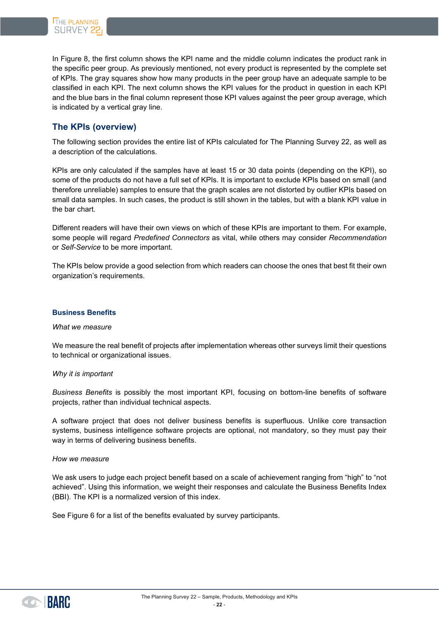

In [Figure 8,](#page-20-0) the first column shows the KPI name and the middle column indicates the product rank in the specific peer group. As previously mentioned, not every product is represented by the complete set of KPIs. The gray squares show how many products in the peer group have an adequate sample to be classified in each KPI. The next column shows the KPI values for the product in question in each KPI and the blue bars in the final column represent those KPI values against the peer group average, which is indicated by a vertical gray line.

# <span id="page-21-0"></span>**The KPIs (overview)**

The following section provides the entire list of KPIs calculated for The Planning Survey 22, as well as a description of the calculations.

KPIs are only calculated if the samples have at least 15 or 30 data points (depending on the KPI), so some of the products do not have a full set of KPIs. It is important to exclude KPIs based on small (and therefore unreliable) samples to ensure that the graph scales are not distorted by outlier KPIs based on small data samples. In such cases, the product is still shown in the tables, but with a blank KPI value in the bar chart.

Different readers will have their own views on which of these KPIs are important to them. For example, some people will regard *Predefined Connectors* as vital, while others may consider *Recommendation* or *Self-Service* to be more important.

The KPIs below provide a good selection from which readers can choose the ones that best fit their own organization's requirements.

#### <span id="page-21-1"></span>**Business Benefits**

*What we measure*

We measure the real benefit of projects after implementation whereas other surveys limit their questions to technical or organizational issues.

#### *Why it is important*

*Business Benefits* is possibly the most important KPI, focusing on bottom-line benefits of software projects, rather than individual technical aspects.

A software project that does not deliver business benefits is superfluous. Unlike core transaction systems, business intelligence software projects are optional, not mandatory, so they must pay their way in terms of delivering business benefits.

#### *How we measure*

We ask users to judge each project benefit based on a scale of achievement ranging from "high" to "not achieved". Using this information, we weight their responses and calculate the Business Benefits Index (BBI). The KPI is a normalized version of this index.

See [Figure 6](#page-14-0) for a list of the benefits evaluated by survey participants.

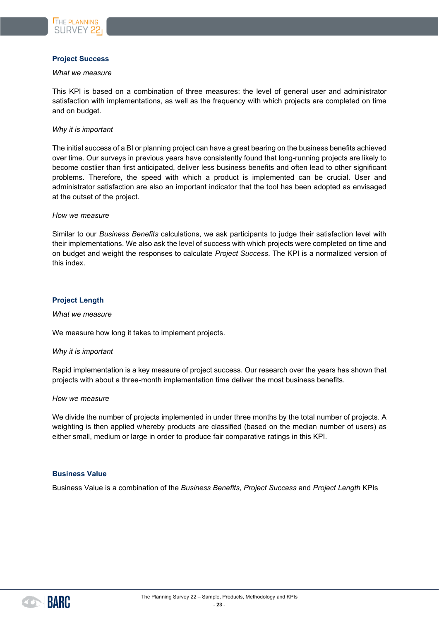

#### <span id="page-22-0"></span>**Project Success**

#### *What we measure*

This KPI is based on a combination of three measures: the level of general user and administrator satisfaction with implementations, as well as the frequency with which projects are completed on time and on budget.

#### *Why it is important*

The initial success of a BI or planning project can have a great bearing on the business benefits achieved over time. Our surveys in previous years have consistently found that long-running projects are likely to become costlier than first anticipated, deliver less business benefits and often lead to other significant problems. Therefore, the speed with which a product is implemented can be crucial. User and administrator satisfaction are also an important indicator that the tool has been adopted as envisaged at the outset of the project.

#### *How we measure*

Similar to our *Business Benefits* calculations, we ask participants to judge their satisfaction level with their implementations. We also ask the level of success with which projects were completed on time and on budget and weight the responses to calculate *Project Success*. The KPI is a normalized version of this index.

#### <span id="page-22-1"></span>**Project Length**

#### *What we measure*

We measure how long it takes to implement projects.

#### *Why it is important*

Rapid implementation is a key measure of project success. Our research over the years has shown that projects with about a three-month implementation time deliver the most business benefits.

#### *How we measure*

We divide the number of projects implemented in under three months by the total number of projects. A weighting is then applied whereby products are classified (based on the median number of users) as either small, medium or large in order to produce fair comparative ratings in this KPI.

#### <span id="page-22-2"></span>**Business Value**

Business Value is a combination of the *Business Benefits, Project Success* and *Project Length* KPIs

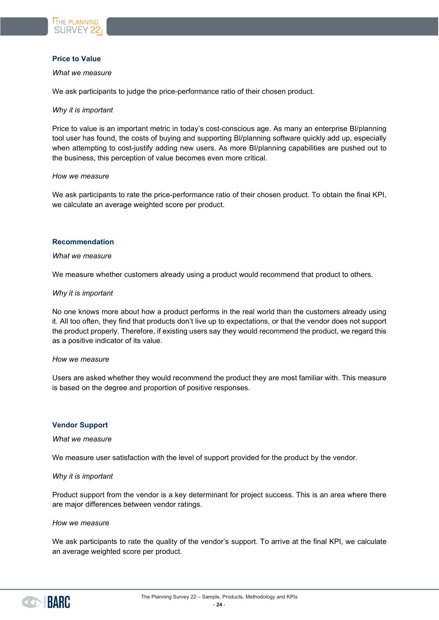

#### <span id="page-23-0"></span>**Price to Value**

#### *What we measure*

We ask participants to judge the price-performance ratio of their chosen product.

#### *Why it is important*

Price to value is an important metric in today's cost-conscious age. As many an enterprise BI/planning tool user has found, the costs of buying and supporting BI/planning software quickly add up, especially when attempting to cost-justify adding new users. As more BI/planning capabilities are pushed out to the business, this perception of value becomes even more critical.

#### *How we measure*

We ask participants to rate the price-performance ratio of their chosen product. To obtain the final KPI, we calculate an average weighted score per product.

#### <span id="page-23-1"></span>**Recommendation**

#### *What we measure*

We measure whether customers already using a product would recommend that product to others.

#### *Why it is important*

No one knows more about how a product performs in the real world than the customers already using it. All too often, they find that products don't live up to expectations, or that the vendor does not support the product properly. Therefore, if existing users say they would recommend the product, we regard this as a positive indicator of its value.

#### *How we measure*

Users are asked whether they would recommend the product they are most familiar with. This measure is based on the degree and proportion of positive responses.

#### <span id="page-23-2"></span>**Vendor Support**

#### *What we measure*

We measure user satisfaction with the level of support provided for the product by the vendor.

#### *Why it is important*

Product support from the vendor is a key determinant for project success. This is an area where there are major differences between vendor ratings.

#### *How we measure*

We ask participants to rate the quality of the vendor's support. To arrive at the final KPI, we calculate an average weighted score per product.

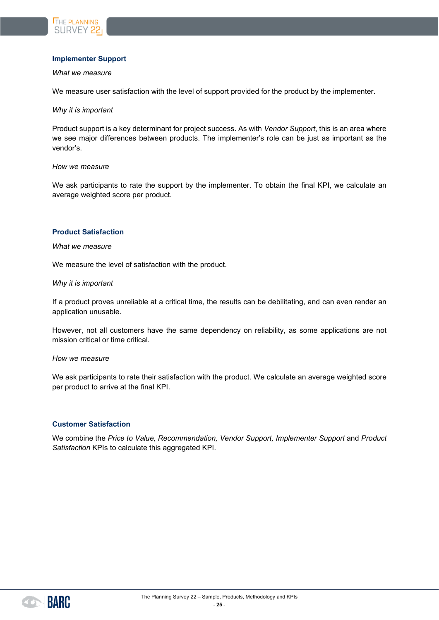

#### <span id="page-24-0"></span>**Implementer Support**

#### *What we measure*

We measure user satisfaction with the level of support provided for the product by the implementer.

#### *Why it is important*

Product support is a key determinant for project success. As with *Vendor Support*, this is an area where we see major differences between products. The implementer's role can be just as important as the vendor's.

#### *How we measure*

We ask participants to rate the support by the implementer. To obtain the final KPI, we calculate an average weighted score per product.

#### <span id="page-24-1"></span>**Product Satisfaction**

#### *What we measure*

We measure the level of satisfaction with the product.

#### *Why it is important*

If a product proves unreliable at a critical time, the results can be debilitating, and can even render an application unusable.

However, not all customers have the same dependency on reliability, as some applications are not mission critical or time critical.

#### *How we measure*

We ask participants to rate their satisfaction with the product. We calculate an average weighted score per product to arrive at the final KPI.

#### <span id="page-24-2"></span>**Customer Satisfaction**

We combine the *Price to Value, Recommendation, Vendor Support, Implementer Support* and *Product Satisfaction* KPIs to calculate this aggregated KPI.

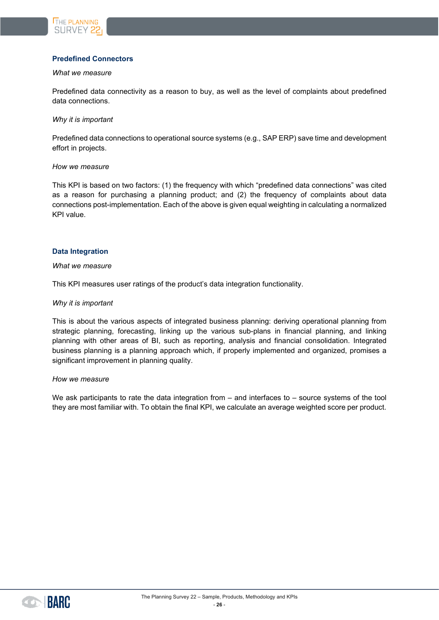

#### <span id="page-25-0"></span>**Predefined Connectors**

#### *What we measure*

Predefined data connectivity as a reason to buy, as well as the level of complaints about predefined data connections.

*Why it is important*

Predefined data connections to operational source systems (e.g., SAP ERP) save time and development effort in projects.

#### *How we measure*

This KPI is based on two factors: (1) the frequency with which "predefined data connections" was cited as a reason for purchasing a planning product; and (2) the frequency of complaints about data connections post-implementation. Each of the above is given equal weighting in calculating a normalized KPI value.

#### <span id="page-25-1"></span>**Data Integration**

#### *What we measure*

This KPI measures user ratings of the product's data integration functionality.

#### *Why it is important*

This is about the various aspects of integrated business planning: deriving operational planning from strategic planning, forecasting, linking up the various sub-plans in financial planning, and linking planning with other areas of BI, such as reporting, analysis and financial consolidation. Integrated business planning is a planning approach which, if properly implemented and organized, promises a significant improvement in planning quality.

#### *How we measure*

We ask participants to rate the data integration from – and interfaces to – source systems of the tool they are most familiar with. To obtain the final KPI, we calculate an average weighted score per product.

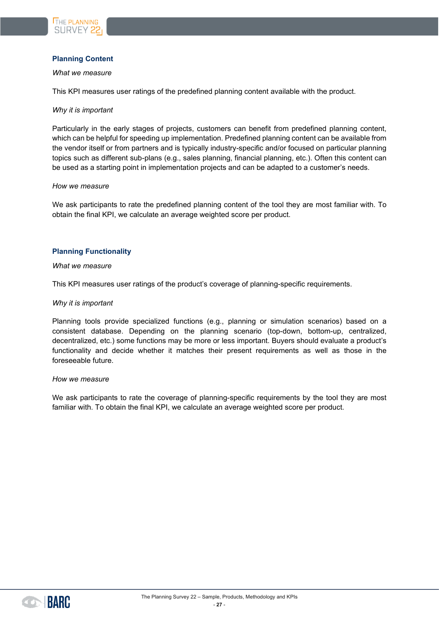

#### <span id="page-26-0"></span>**Planning Content**

#### *What we measure*

This KPI measures user ratings of the predefined planning content available with the product.

#### *Why it is important*

Particularly in the early stages of projects, customers can benefit from predefined planning content, which can be helpful for speeding up implementation. Predefined planning content can be available from the vendor itself or from partners and is typically industry-specific and/or focused on particular planning topics such as different sub-plans (e.g., sales planning, financial planning, etc.). Often this content can be used as a starting point in implementation projects and can be adapted to a customer's needs.

#### *How we measure*

We ask participants to rate the predefined planning content of the tool they are most familiar with. To obtain the final KPI, we calculate an average weighted score per product.

#### <span id="page-26-1"></span>**Planning Functionality**

#### *What we measure*

This KPI measures user ratings of the product's coverage of planning-specific requirements.

#### *Why it is important*

Planning tools provide specialized functions (e.g., planning or simulation scenarios) based on a consistent database. Depending on the planning scenario (top-down, bottom-up, centralized, decentralized, etc.) some functions may be more or less important. Buyers should evaluate a product's functionality and decide whether it matches their present requirements as well as those in the foreseeable future.

#### *How we measure*

We ask participants to rate the coverage of planning-specific requirements by the tool they are most familiar with. To obtain the final KPI, we calculate an average weighted score per product.

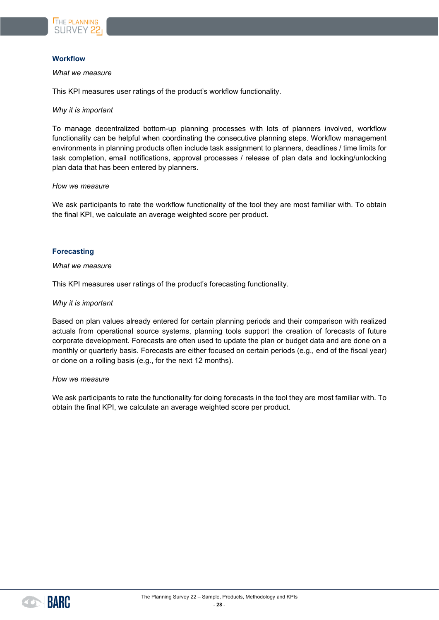

#### <span id="page-27-0"></span>**Workflow**

#### *What we measure*

This KPI measures user ratings of the product's workflow functionality.

#### *Why it is important*

To manage decentralized bottom-up planning processes with lots of planners involved, workflow functionality can be helpful when coordinating the consecutive planning steps. Workflow management environments in planning products often include task assignment to planners, deadlines / time limits for task completion, email notifications, approval processes / release of plan data and locking/unlocking plan data that has been entered by planners.

#### *How we measure*

We ask participants to rate the workflow functionality of the tool they are most familiar with. To obtain the final KPI, we calculate an average weighted score per product.

#### <span id="page-27-1"></span>**Forecasting**

#### *What we measure*

This KPI measures user ratings of the product's forecasting functionality.

#### *Why it is important*

Based on plan values already entered for certain planning periods and their comparison with realized actuals from operational source systems, planning tools support the creation of forecasts of future corporate development. Forecasts are often used to update the plan or budget data and are done on a monthly or quarterly basis. Forecasts are either focused on certain periods (e.g., end of the fiscal year) or done on a rolling basis (e.g., for the next 12 months).

#### *How we measure*

We ask participants to rate the functionality for doing forecasts in the tool they are most familiar with. To obtain the final KPI, we calculate an average weighted score per product.

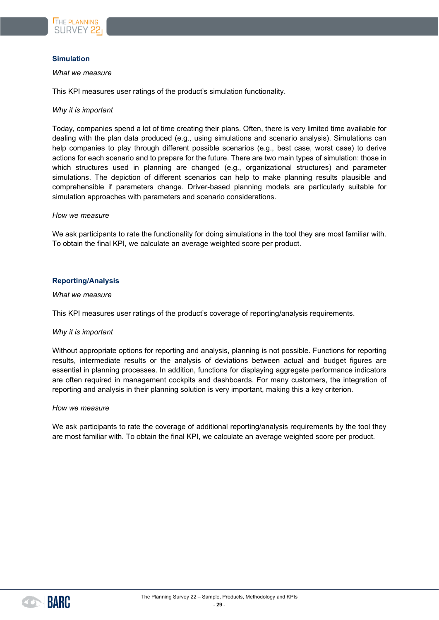

#### <span id="page-28-0"></span>**Simulation**

#### *What we measure*

This KPI measures user ratings of the product's simulation functionality.

#### *Why it is important*

Today, companies spend a lot of time creating their plans. Often, there is very limited time available for dealing with the plan data produced (e.g., using simulations and scenario analysis). Simulations can help companies to play through different possible scenarios (e.g., best case, worst case) to derive actions for each scenario and to prepare for the future. There are two main types of simulation: those in which structures used in planning are changed (e.g., organizational structures) and parameter simulations. The depiction of different scenarios can help to make planning results plausible and comprehensible if parameters change. Driver-based planning models are particularly suitable for simulation approaches with parameters and scenario considerations.

#### *How we measure*

We ask participants to rate the functionality for doing simulations in the tool they are most familiar with. To obtain the final KPI, we calculate an average weighted score per product.

#### <span id="page-28-1"></span>**Reporting/Analysis**

#### *What we measure*

This KPI measures user ratings of the product's coverage of reporting/analysis requirements.

#### *Why it is important*

Without appropriate options for reporting and analysis, planning is not possible. Functions for reporting results, intermediate results or the analysis of deviations between actual and budget figures are essential in planning processes. In addition, functions for displaying aggregate performance indicators are often required in management cockpits and dashboards. For many customers, the integration of reporting and analysis in their planning solution is very important, making this a key criterion.

#### *How we measure*

We ask participants to rate the coverage of additional reporting/analysis requirements by the tool they are most familiar with. To obtain the final KPI, we calculate an average weighted score per product.

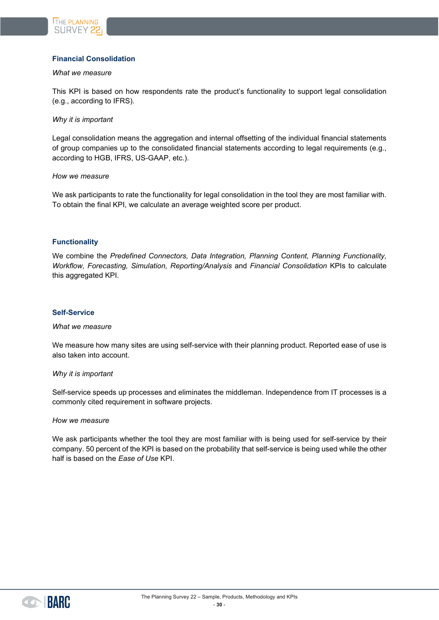

#### <span id="page-29-0"></span>**Financial Consolidation**

#### *What we measure*

This KPI is based on how respondents rate the product's functionality to support legal consolidation (e.g., according to IFRS).

*Why it is important*

Legal consolidation means the aggregation and internal offsetting of the individual financial statements of group companies up to the consolidated financial statements according to legal requirements (e.g., according to HGB, IFRS, US-GAAP, etc.).

*How we measure*

We ask participants to rate the functionality for legal consolidation in the tool they are most familiar with. To obtain the final KPI, we calculate an average weighted score per product.

#### <span id="page-29-1"></span>**Functionality**

We combine the *Predefined Connectors, Data Integration, Planning Content, Planning Functionality, Workflow, Forecasting, Simulation, Reporting/Analysis* and *Financial Consolidation* KPIs to calculate this aggregated KPI.

#### <span id="page-29-2"></span>**Self-Service**

#### *What we measure*

We measure how many sites are using self-service with their planning product. Reported ease of use is also taken into account.

#### *Why it is important*

Self-service speeds up processes and eliminates the middleman. Independence from IT processes is a commonly cited requirement in software projects.

#### *How we measure*

We ask participants whether the tool they are most familiar with is being used for self-service by their company. 50 percent of the KPI is based on the probability that self-service is being used while the other half is based on the *Ease of Use* KPI.

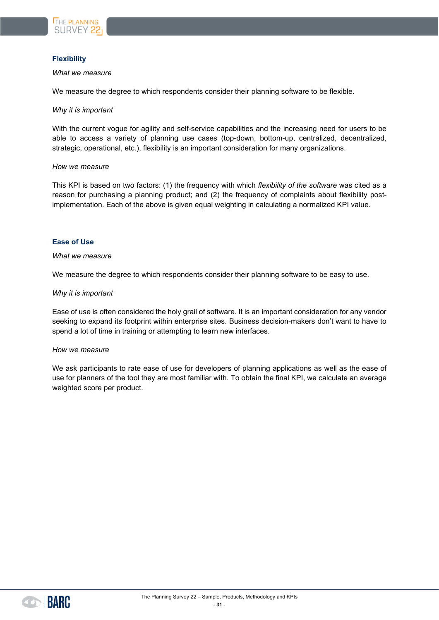

#### <span id="page-30-0"></span>**Flexibility**

#### *What we measure*

We measure the degree to which respondents consider their planning software to be flexible.

#### *Why it is important*

With the current vogue for agility and self-service capabilities and the increasing need for users to be able to access a variety of planning use cases (top-down, bottom-up, centralized, decentralized, strategic, operational, etc.), flexibility is an important consideration for many organizations.

#### *How we measure*

This KPI is based on two factors: (1) the frequency with which *flexibility of the software* was cited as a reason for purchasing a planning product; and (2) the frequency of complaints about flexibility postimplementation. Each of the above is given equal weighting in calculating a normalized KPI value.

#### <span id="page-30-1"></span>**Ease of Use**

#### *What we measure*

We measure the degree to which respondents consider their planning software to be easy to use.

#### *Why it is important*

Ease of use is often considered the holy grail of software. It is an important consideration for any vendor seeking to expand its footprint within enterprise sites. Business decision-makers don't want to have to spend a lot of time in training or attempting to learn new interfaces.

#### *How we measure*

We ask participants to rate ease of use for developers of planning applications as well as the ease of use for planners of the tool they are most familiar with. To obtain the final KPI, we calculate an average weighted score per product.

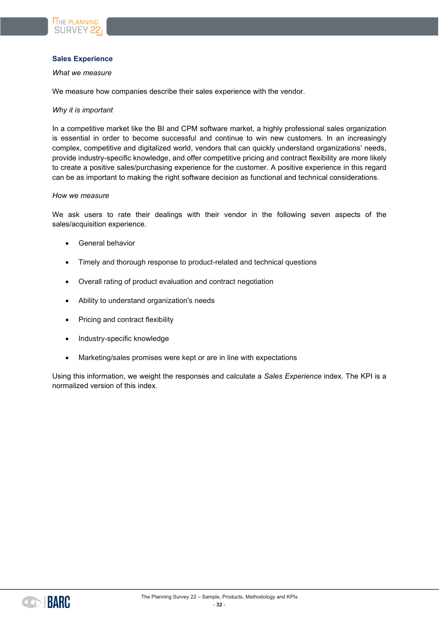

#### <span id="page-31-0"></span>**Sales Experience**

#### *What we measure*

We measure how companies describe their sales experience with the vendor.

#### *Why it is important*

In a competitive market like the BI and CPM software market, a highly professional sales organization is essential in order to become successful and continue to win new customers. In an increasingly complex, competitive and digitalized world, vendors that can quickly understand organizations' needs, provide industry-specific knowledge, and offer competitive pricing and contract flexibility are more likely to create a positive sales/purchasing experience for the customer. A positive experience in this regard can be as important to making the right software decision as functional and technical considerations.

#### *How we measure*

We ask users to rate their dealings with their vendor in the following seven aspects of the sales/acquisition experience.

- General behavior
- Timely and thorough response to product-related and technical questions
- Overall rating of product evaluation and contract negotiation
- Ability to understand organization's needs
- Pricing and contract flexibility
- Industry-specific knowledge
- Marketing/sales promises were kept or are in line with expectations

Using this information, we weight the responses and calculate a *Sales Experience* index. The KPI is a normalized version of this index.

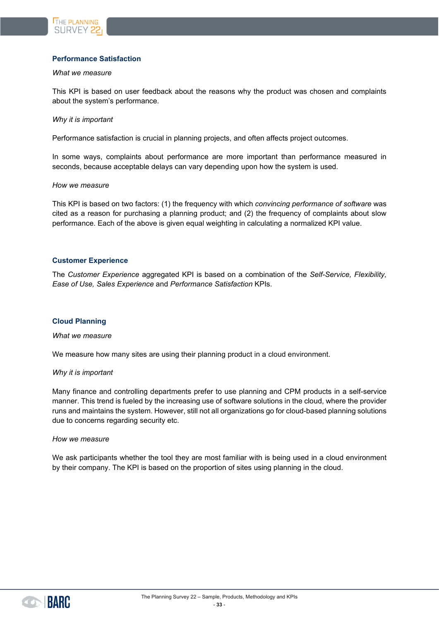

#### <span id="page-32-0"></span>**Performance Satisfaction**

#### *What we measure*

This KPI is based on user feedback about the reasons why the product was chosen and complaints about the system's performance.

#### *Why it is important*

Performance satisfaction is crucial in planning projects, and often affects project outcomes.

In some ways, complaints about performance are more important than performance measured in seconds, because acceptable delays can vary depending upon how the system is used.

#### *How we measure*

This KPI is based on two factors: (1) the frequency with which *convincing performance of software* was cited as a reason for purchasing a planning product; and (2) the frequency of complaints about slow performance. Each of the above is given equal weighting in calculating a normalized KPI value.

#### <span id="page-32-1"></span>**Customer Experience**

The *Customer Experience* aggregated KPI is based on a combination of the *Self-Service, Flexibility, Ease of Use, Sales Experience* and *Performance Satisfaction* KPIs.

#### <span id="page-32-2"></span>**Cloud Planning**

#### *What we measure*

We measure how many sites are using their planning product in a cloud environment.

#### *Why it is important*

Many finance and controlling departments prefer to use planning and CPM products in a self-service manner. This trend is fueled by the increasing use of software solutions in the cloud, where the provider runs and maintains the system. However, still not all organizations go for cloud-based planning solutions due to concerns regarding security etc.

#### *How we measure*

We ask participants whether the tool they are most familiar with is being used in a cloud environment by their company. The KPI is based on the proportion of sites using planning in the cloud.

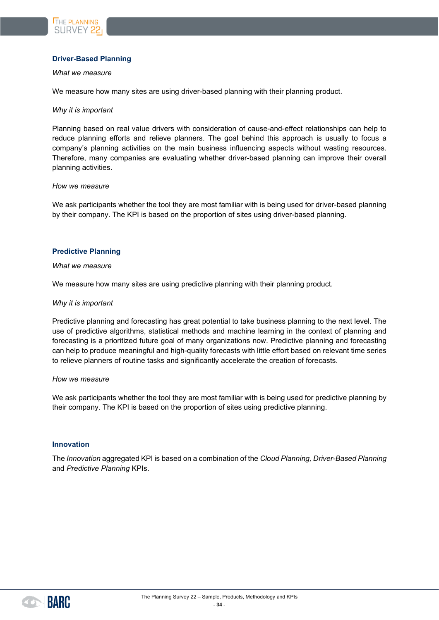

#### <span id="page-33-0"></span>**Driver-Based Planning**

#### *What we measure*

We measure how many sites are using driver-based planning with their planning product.

#### *Why it is important*

Planning based on real value drivers with consideration of cause-and-effect relationships can help to reduce planning efforts and relieve planners. The goal behind this approach is usually to focus a company's planning activities on the main business influencing aspects without wasting resources. Therefore, many companies are evaluating whether driver-based planning can improve their overall planning activities.

#### *How we measure*

We ask participants whether the tool they are most familiar with is being used for driver-based planning by their company. The KPI is based on the proportion of sites using driver-based planning.

#### <span id="page-33-1"></span>**Predictive Planning**

#### *What we measure*

We measure how many sites are using predictive planning with their planning product.

#### *Why it is important*

Predictive planning and forecasting has great potential to take business planning to the next level. The use of predictive algorithms, statistical methods and machine learning in the context of planning and forecasting is a prioritized future goal of many organizations now. Predictive planning and forecasting can help to produce meaningful and high-quality forecasts with little effort based on relevant time series to relieve planners of routine tasks and significantly accelerate the creation of forecasts.

#### *How we measure*

We ask participants whether the tool they are most familiar with is being used for predictive planning by their company. The KPI is based on the proportion of sites using predictive planning.

#### <span id="page-33-2"></span>**Innovation**

The *Innovation* aggregated KPI is based on a combination of the *Cloud Planning, Driver-Based Planning*  and *Predictive Planning* KPIs.

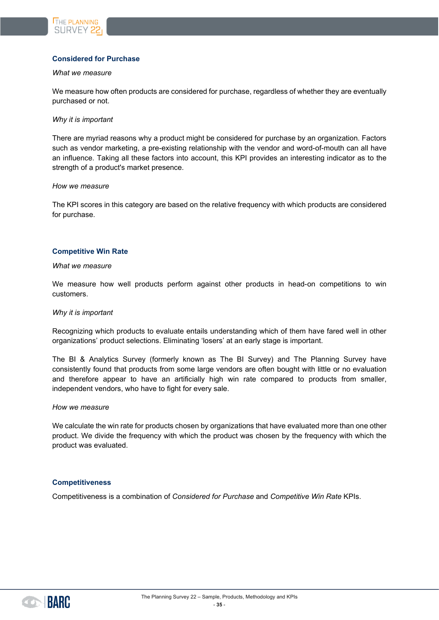

#### <span id="page-34-0"></span>**Considered for Purchase**

#### *What we measure*

We measure how often products are considered for purchase, regardless of whether they are eventually purchased or not.

#### *Why it is important*

There are myriad reasons why a product might be considered for purchase by an organization. Factors such as vendor marketing, a pre-existing relationship with the vendor and word-of-mouth can all have an influence. Taking all these factors into account, this KPI provides an interesting indicator as to the strength of a product's market presence.

#### *How we measure*

The KPI scores in this category are based on the relative frequency with which products are considered for purchase.

#### <span id="page-34-1"></span>**Competitive Win Rate**

#### *What we measure*

We measure how well products perform against other products in head-on competitions to win customers.

#### *Why it is important*

Recognizing which products to evaluate entails understanding which of them have fared well in other organizations' product selections. Eliminating 'losers' at an early stage is important.

The BI & Analytics Survey (formerly known as The BI Survey) and The Planning Survey have consistently found that products from some large vendors are often bought with little or no evaluation and therefore appear to have an artificially high win rate compared to products from smaller, independent vendors, who have to fight for every sale.

#### *How we measure*

We calculate the win rate for products chosen by organizations that have evaluated more than one other product. We divide the frequency with which the product was chosen by the frequency with which the product was evaluated.

#### <span id="page-34-2"></span>**Competitiveness**

Competitiveness is a combination of *Considered for Purchase* and *Competitive Win Rate* KPIs.

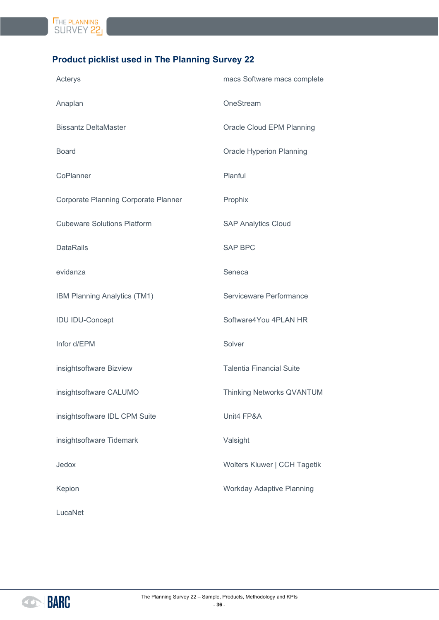

# <span id="page-35-0"></span>**Product picklist used in The Planning Survey 22**

| Acterys                              | macs Software macs complete      |
|--------------------------------------|----------------------------------|
| Anaplan                              | OneStream                        |
| <b>Bissantz DeltaMaster</b>          | Oracle Cloud EPM Planning        |
| <b>Board</b>                         | Oracle Hyperion Planning         |
| CoPlanner                            | Planful                          |
| Corporate Planning Corporate Planner | Prophix                          |
| <b>Cubeware Solutions Platform</b>   | <b>SAP Analytics Cloud</b>       |
| <b>DataRails</b>                     | <b>SAP BPC</b>                   |
| evidanza                             | Seneca                           |
| IBM Planning Analytics (TM1)         | Serviceware Performance          |
| <b>IDU IDU-Concept</b>               | Software4You 4PLAN HR            |
| Infor d/EPM                          | Solver                           |
| insightsoftware Bizview              | <b>Talentia Financial Suite</b>  |
| insightsoftware CALUMO               | <b>Thinking Networks QVANTUM</b> |
| insightsoftware IDL CPM Suite        | Unit4 FP&A                       |
| insightsoftware Tidemark             | Valsight                         |
| Jedox                                | Wolters Kluwer   CCH Tagetik     |
| Kepion                               | <b>Workday Adaptive Planning</b> |
| LucaNet                              |                                  |